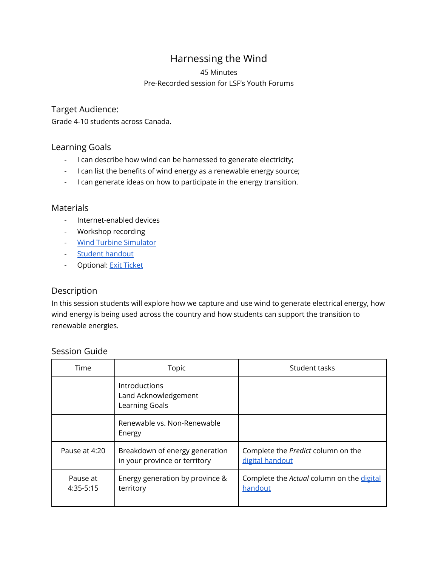# Harnessing the Wind

#### 45 Minutes

#### Pre-Recorded session for LSF's Youth Forums

#### Target Audience:

Grade 4-10 students across Canada.

### Learning Goals

- I can describe how wind can be harnessed to generate electricity;
- I can list the benefits of wind energy as a renewable energy source;
- I can generate ideas on how to participate in the energy transition.

### Materials

- Internet-enabled devices
- Workshop recording
- Wind Turbine [Simulator](https://greenlearning.ca/animation/windmill/)
- Student [handout](https://docs.google.com/document/d/13Jc4JBBj3gIFQWydy1EhbUs_r3ygwBefFTASCrIwwAg/edit?usp=sharing)
- Optional: Exit [Ticket](https://docs.google.com/document/u/0/d/12eGLkNUjpYDH7oELNhgmECWSehVxRz1Bkgm7qMyHFok/edit)

## Description

In this session students will explore how we capture and use wind to generate electrical energy, how wind energy is being used across the country and how students can support the transition to renewable energies.

### Session Guide

| Time                  | Topic                                                           | Student tasks                                         |
|-----------------------|-----------------------------------------------------------------|-------------------------------------------------------|
|                       | Introductions<br>Land Acknowledgement<br>Learning Goals         |                                                       |
|                       | Renewable vs. Non-Renewable<br>Energy                           |                                                       |
| Pause at 4:20         | Breakdown of energy generation<br>in your province or territory | Complete the Predict column on the<br>digital handout |
| Pause at<br>4:35-5:15 | Energy generation by province &<br>territory                    | Complete the Actual column on the digital<br>handout  |